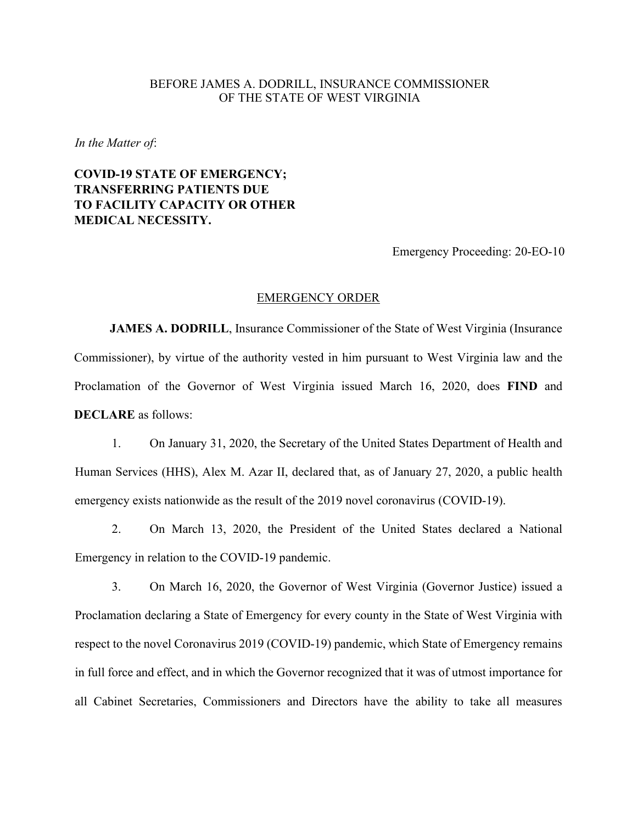## BEFORE JAMES A. DODRILL, INSURANCE COMMISSIONER OF THE STATE OF WEST VIRGINIA

*In the Matter of*:

## **COVID-19 STATE OF EMERGENCY; TRANSFERRING PATIENTS DUE TO FACILITY CAPACITY OR OTHER MEDICAL NECESSITY.**

Emergency Proceeding: 20-EO-10

## EMERGENCY ORDER

**JAMES A. DODRILL**, Insurance Commissioner of the State of West Virginia (Insurance Commissioner), by virtue of the authority vested in him pursuant to West Virginia law and the Proclamation of the Governor of West Virginia issued March 16, 2020, does **FIND** and **DECLARE** as follows:

1. On January 31, 2020, the Secretary of the United States Department of Health and Human Services (HHS), Alex M. Azar II, declared that, as of January 27, 2020, a public health emergency exists nationwide as the result of the 2019 novel coronavirus (COVID-19).

2. On March 13, 2020, the President of the United States declared a National Emergency in relation to the COVID-19 pandemic.

3. On March 16, 2020, the Governor of West Virginia (Governor Justice) issued a Proclamation declaring a State of Emergency for every county in the State of West Virginia with respect to the novel Coronavirus 2019 (COVID-19) pandemic, which State of Emergency remains in full force and effect, and in which the Governor recognized that it was of utmost importance for all Cabinet Secretaries, Commissioners and Directors have the ability to take all measures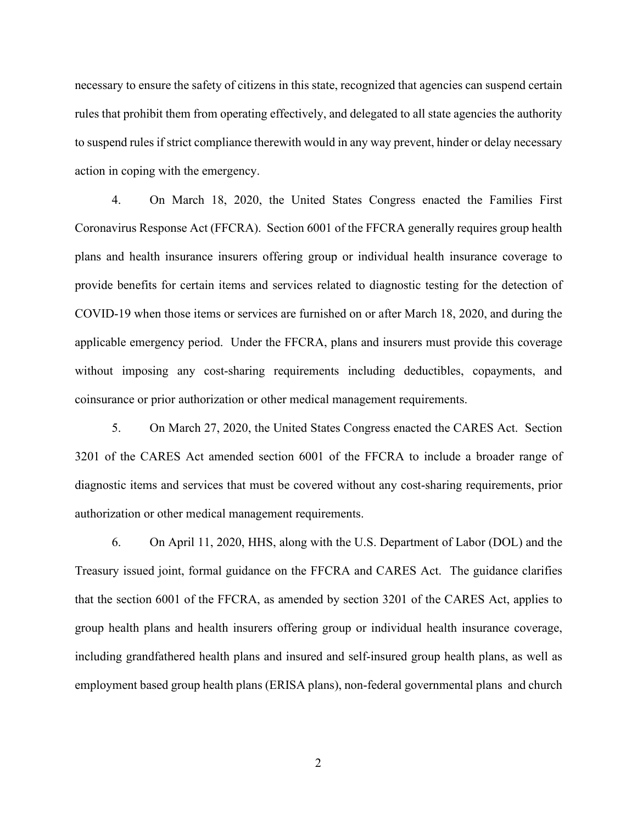necessary to ensure the safety of citizens in this state, recognized that agencies can suspend certain rules that prohibit them from operating effectively, and delegated to all state agencies the authority to suspend rules if strict compliance therewith would in any way prevent, hinder or delay necessary action in coping with the emergency.

4. On March 18, 2020, the United States Congress enacted the Families First Coronavirus Response Act (FFCRA). Section 6001 of the FFCRA generally requires group health plans and health insurance insurers offering group or individual health insurance coverage to provide benefits for certain items and services related to diagnostic testing for the detection of COVID-19 when those items or services are furnished on or after March 18, 2020, and during the applicable emergency period. Under the FFCRA, plans and insurers must provide this coverage without imposing any cost-sharing requirements including deductibles, copayments, and coinsurance or prior authorization or other medical management requirements.

5. On March 27, 2020, the United States Congress enacted the CARES Act. Section 3201 of the CARES Act amended section 6001 of the FFCRA to include a broader range of diagnostic items and services that must be covered without any cost-sharing requirements, prior authorization or other medical management requirements.

6. On April 11, 2020, HHS, along with the U.S. Department of Labor (DOL) and the Treasury issued joint, formal guidance on the FFCRA and CARES Act. The guidance clarifies that the section 6001 of the FFCRA, as amended by section 3201 of the CARES Act, applies to group health plans and health insurers offering group or individual health insurance coverage, including grandfathered health plans and insured and self-insured group health plans, as well as employment based group health plans (ERISA plans), non-federal governmental plans and church

2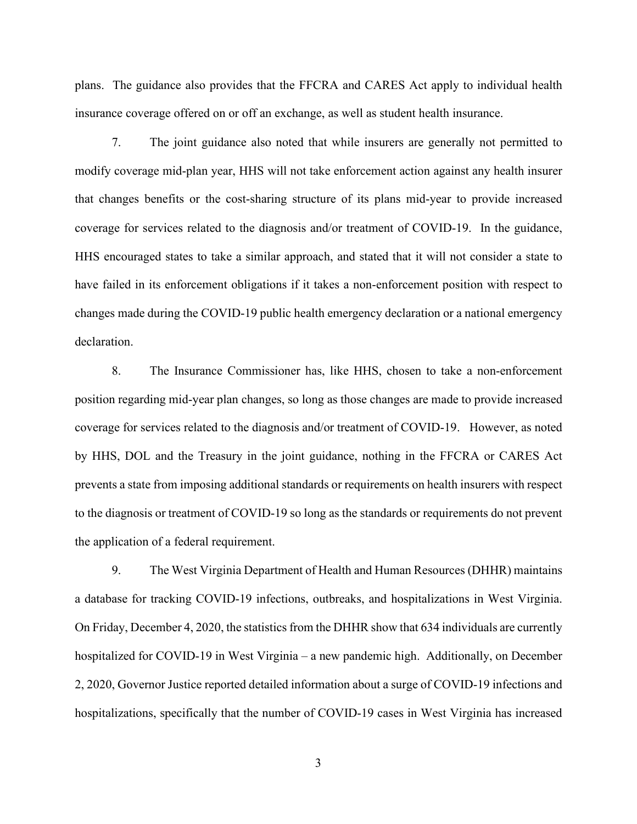plans. The guidance also provides that the FFCRA and CARES Act apply to individual health insurance coverage offered on or off an exchange, as well as student health insurance.

7. The joint guidance also noted that while insurers are generally not permitted to modify coverage mid-plan year, HHS will not take enforcement action against any health insurer that changes benefits or the cost-sharing structure of its plans mid-year to provide increased coverage for services related to the diagnosis and/or treatment of COVID-19. In the guidance, HHS encouraged states to take a similar approach, and stated that it will not consider a state to have failed in its enforcement obligations if it takes a non-enforcement position with respect to changes made during the COVID-19 public health emergency declaration or a national emergency declaration.

8. The Insurance Commissioner has, like HHS, chosen to take a non-enforcement position regarding mid-year plan changes, so long as those changes are made to provide increased coverage for services related to the diagnosis and/or treatment of COVID-19. However, as noted by HHS, DOL and the Treasury in the joint guidance, nothing in the FFCRA or CARES Act prevents a state from imposing additional standards or requirements on health insurers with respect to the diagnosis or treatment of COVID-19 so long as the standards or requirements do not prevent the application of a federal requirement.

9. The West Virginia Department of Health and Human Resources (DHHR) maintains a database for tracking COVID-19 infections, outbreaks, and hospitalizations in West Virginia. On Friday, December 4, 2020, the statistics from the DHHR show that 634 individuals are currently hospitalized for COVID-19 in West Virginia – a new pandemic high. Additionally, on December 2, 2020, Governor Justice reported detailed information about a surge of COVID-19 infections and hospitalizations, specifically that the number of COVID-19 cases in West Virginia has increased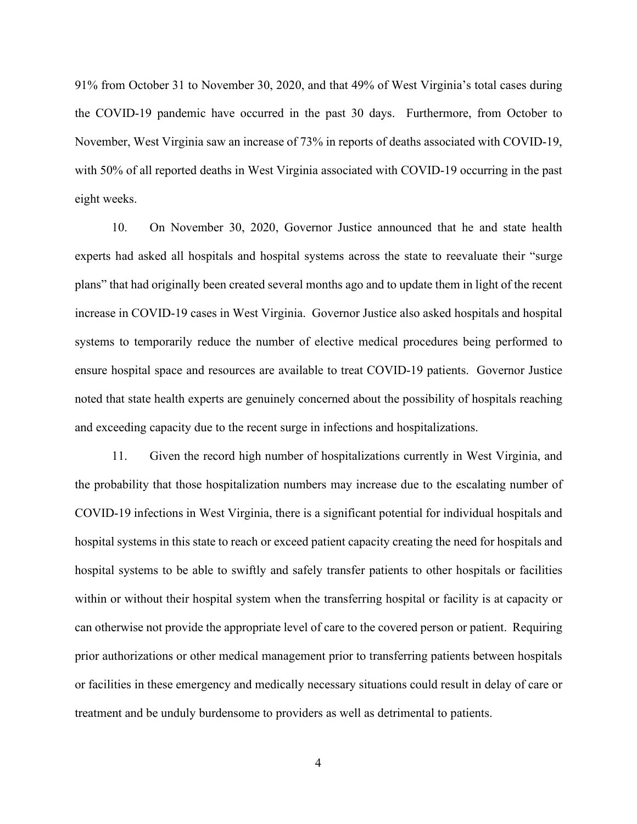91% from October 31 to November 30, 2020, and that 49% of West Virginia's total cases during the COVID-19 pandemic have occurred in the past 30 days. Furthermore, from October to November, West Virginia saw an increase of 73% in reports of deaths associated with COVID-19, with 50% of all reported deaths in West Virginia associated with COVID-19 occurring in the past eight weeks.

10. On November 30, 2020, Governor Justice announced that he and state health experts had asked all hospitals and hospital systems across the state to reevaluate their "surge plans" that had originally been created several months ago and to update them in light of the recent increase in COVID-19 cases in West Virginia. Governor Justice also asked hospitals and hospital systems to temporarily reduce the number of elective medical procedures being performed to ensure hospital space and resources are available to treat COVID-19 patients. Governor Justice noted that state health experts are genuinely concerned about the possibility of hospitals reaching and exceeding capacity due to the recent surge in infections and hospitalizations.

11. Given the record high number of hospitalizations currently in West Virginia, and the probability that those hospitalization numbers may increase due to the escalating number of COVID-19 infections in West Virginia, there is a significant potential for individual hospitals and hospital systems in this state to reach or exceed patient capacity creating the need for hospitals and hospital systems to be able to swiftly and safely transfer patients to other hospitals or facilities within or without their hospital system when the transferring hospital or facility is at capacity or can otherwise not provide the appropriate level of care to the covered person or patient. Requiring prior authorizations or other medical management prior to transferring patients between hospitals or facilities in these emergency and medically necessary situations could result in delay of care or treatment and be unduly burdensome to providers as well as detrimental to patients.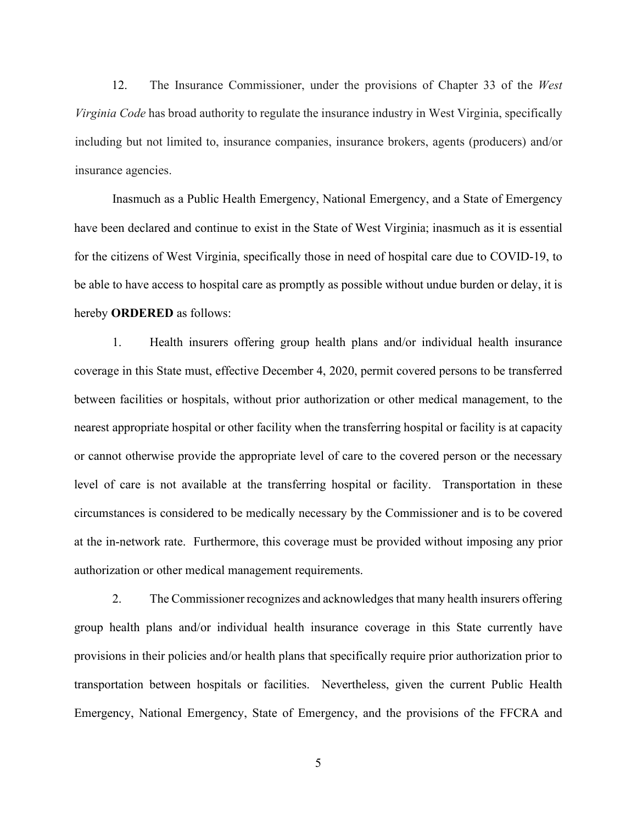12. The Insurance Commissioner, under the provisions of Chapter 33 of the *West Virginia Code* has broad authority to regulate the insurance industry in West Virginia, specifically including but not limited to, insurance companies, insurance brokers, agents (producers) and/or insurance agencies.

Inasmuch as a Public Health Emergency, National Emergency, and a State of Emergency have been declared and continue to exist in the State of West Virginia; inasmuch as it is essential for the citizens of West Virginia, specifically those in need of hospital care due to COVID-19, to be able to have access to hospital care as promptly as possible without undue burden or delay, it is hereby **ORDERED** as follows:

1. Health insurers offering group health plans and/or individual health insurance coverage in this State must, effective December 4, 2020, permit covered persons to be transferred between facilities or hospitals, without prior authorization or other medical management, to the nearest appropriate hospital or other facility when the transferring hospital or facility is at capacity or cannot otherwise provide the appropriate level of care to the covered person or the necessary level of care is not available at the transferring hospital or facility. Transportation in these circumstances is considered to be medically necessary by the Commissioner and is to be covered at the in-network rate. Furthermore, this coverage must be provided without imposing any prior authorization or other medical management requirements.

2. The Commissioner recognizes and acknowledges that many health insurers offering group health plans and/or individual health insurance coverage in this State currently have provisions in their policies and/or health plans that specifically require prior authorization prior to transportation between hospitals or facilities. Nevertheless, given the current Public Health Emergency, National Emergency, State of Emergency, and the provisions of the FFCRA and

5